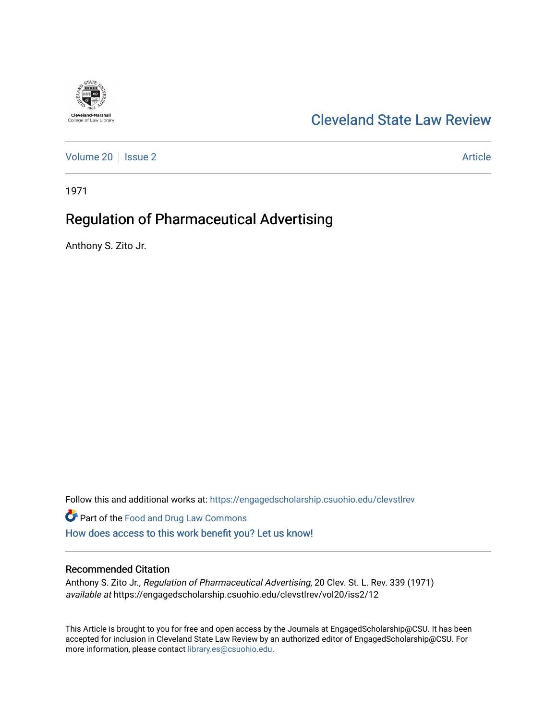

# [Cleveland State Law Review](https://engagedscholarship.csuohio.edu/clevstlrev)

[Volume 20](https://engagedscholarship.csuohio.edu/clevstlrev/vol20) | [Issue 2](https://engagedscholarship.csuohio.edu/clevstlrev/vol20/iss2) Article

1971

# Regulation of Pharmaceutical Advertising

Anthony S. Zito Jr.

Follow this and additional works at: [https://engagedscholarship.csuohio.edu/clevstlrev](https://engagedscholarship.csuohio.edu/clevstlrev?utm_source=engagedscholarship.csuohio.edu%2Fclevstlrev%2Fvol20%2Fiss2%2F12&utm_medium=PDF&utm_campaign=PDFCoverPages)

Part of the [Food and Drug Law Commons](http://network.bepress.com/hgg/discipline/844?utm_source=engagedscholarship.csuohio.edu%2Fclevstlrev%2Fvol20%2Fiss2%2F12&utm_medium=PDF&utm_campaign=PDFCoverPages)  [How does access to this work benefit you? Let us know!](http://library.csuohio.edu/engaged/)

### Recommended Citation

Anthony S. Zito Jr., Regulation of Pharmaceutical Advertising, 20 Clev. St. L. Rev. 339 (1971) available at https://engagedscholarship.csuohio.edu/clevstlrev/vol20/iss2/12

This Article is brought to you for free and open access by the Journals at EngagedScholarship@CSU. It has been accepted for inclusion in Cleveland State Law Review by an authorized editor of EngagedScholarship@CSU. For more information, please contact [library.es@csuohio.edu](mailto:library.es@csuohio.edu).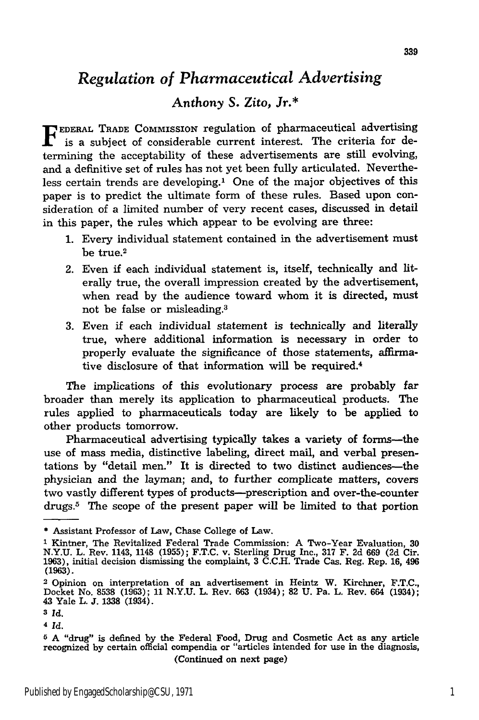## *Regulation of Pharmaceutical Advertising*

## *Anthony* **S.** Zito, Jr.\*

**FEDERAL TRADE COMMISSION regulation of pharmaceutical advertising** is a subject of considerable current interest. The criteria for determining the acceptability of these advertisements are still evolving, and a definitive set of rules has not yet been fully articulated. Nevertheless certain trends are developing.' One of the major objectives of this paper is to predict the ultimate form of these rules. Based upon consideration of a limited number of very recent cases, discussed in detail in this paper, the rules which appear to be evolving are three:

- 1. Every individual statement contained in the advertisement must be true.2
- 2. Even if each individual statement is, itself, technically and literally true, the overall impression created by the advertisement, when read by the audience toward whom it is directed, must not be false or misleading.<sup>3</sup>
- 3. Even if each individual statement is technically and literally true, where additional information is necessary in order to properly evaluate the significance of those statements, affirmative disclosure of that information will be required.4

The implications of this evolutionary process are probably far broader than merely its application to pharmaceutical products. The rules applied to pharmaceuticals today are likely to be applied to other products tomorrow.

Pharmaceutical advertising typically takes a variety of forms-the use of mass media, distinctive labeling, direct mail, and verbal presentations by "detail men." It is directed to two distinct audiences-the physician and the layman; and, to further complicate matters, covers two vastly different types of products--prescription and over-the-counter drugs.5 The scope of the present paper will be limited to that portion

<sup>\*</sup> Assistant Professor of Law, Chase College of Law.

**<sup>1</sup>** Kintner, The Revitalized Federal Trade Commission: A Two-Year Evaluation, 30 N.Y.U. L. Rev. 1143, 1148 (1955); F.T.C. v. Sterling Drug Inc., 317 F. 2d 669 (2d Cir. 1963), initial decision dismissing the complaint, 3 C.C.H. Trade Cas. Reg. Rep. 16, 496 **(1963).**

<sup>2</sup> Opinion on interpretation of an advertisement in Heintz W. Kirchner, **F.T.C.,** Docket No. 8538 (1963); 11 N.Y.U. L. Rev. 663 (1934); **82** U. Pa. L. Rev. 664 (1934); 43 Yale L. **J.** 1338 (1934).

**<sup>3</sup> Id.**

**<sup>4</sup>** *Id.*

<sup>5</sup> A "drug" is defined by the Federal Food, Drug and Cosmetic Act as any article recognized by certain official compendia or "articles intended for use in the diagnosis, (Continued on next page)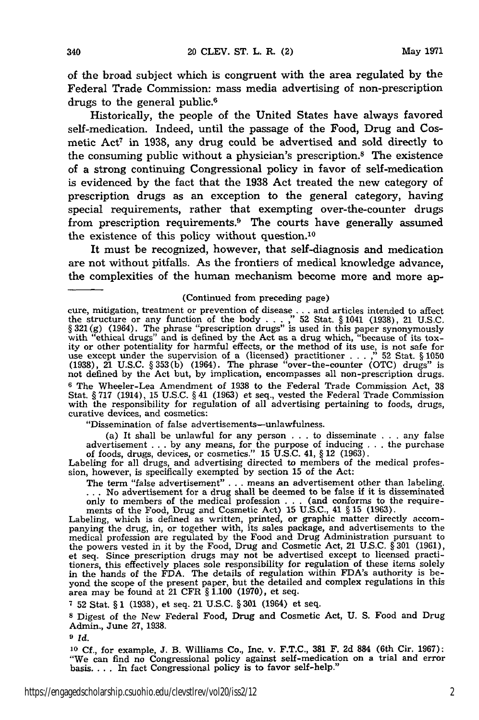of the broad subject which is congruent with the area regulated **by** the Federal Trade Commission: mass media advertising of non-prescription drugs to the general public.<sup>6</sup>

Historically, the people of the United States have always favored self-medication. Indeed, until the passage of the Food, Drug and Cosmetic  $Act^7$  in 1938, any drug could be advertised and sold directly to the consuming public without a physician's prescription.8 The existence of a strong continuing Congressional policy in favor of self-medication is evidenced by the fact that the **1938** Act treated the new category of prescription drugs as an exception to the general category, having special requirements, rather that exempting over-the-counter drugs from prescription requirements.9 The courts have generally assumed the existence of this policy without question.'0

It must be recognized, however, that self-diagnosis and medication are not without pitfalls. As the frontiers of medical knowledge advance, the complexities of the human mechanism become more and more ap-

#### (Continued from preceding page)

cure, mitigation, treatment or prevention of disease **...** and articles intended to affect the structure or any function of the body . **. .**," **52** Stat. § 1041 (1938), 21 U.S.C. § **321 (g)** (1964). The phrase "prescription drugs" is used in this paper synonymously with "ethical drugs" and is defined by the Act as a drug which, "because of its toxity or other potentiality for harmful effects, or the method of its use, is not safe for use except under the supervision of a (licensed) practitioner . **.** . **." 52** Stat. § **1050** (1938), 21 U.S.C. § **353(b)** (1964). The phrase "over-the-counter (OTC) drugs" is not defined **by** the Act but, by implication, encompasses all non-prescription drugs. **6** The Wheeler-Lea Amendment of 1938 to the Federal Trade Commission Act, **38** Stat. § 717 (1914), 15 U.S.C. § 41 (1963) et seq., vested the Federal Trade Commission with the responsibility for regulation of all advertising pertaining to foods, drugs, curative devices, and cosmetics:

"Dissemination of false advertisements-unlawfulness.

(a) It shall be unlawful for any person  $\ldots$  to disseminate  $\ldots$  any false advertisement .. .**by** any means, for the purpose of inducing **.**. .the purchase of foods, drugs, devices, or cosmetics." **15** U.S.C. 41, § 12 (1963).

Labeling for all drugs, and advertising directed to members of the medical profes-sion, however, is specifically exempted **by** section **15** of the Act:

The term "false advertisement" . . . means an advertisement other than labeling. **...** No advertisement for a drug shall be deemed to be false if it is disseminated

only to members of the medical profession . . . (and conforms to the requirements of the Food, Drug and Cosmetic Act) 15 U.S.C., 41 § 15 (1963). Labeling, which is defined as written, printed, or graphic matter directly ac medical profession are regulated by the Food and Drug Administration pursuant to the powers vested in it by the Food, Drug and Cosmetic Act, 21 U.S.C. § 301 (1961), et seq. Since prescription drugs may not be advertised except to licensed practitioners, this effectively places sole responsibility for regulation of these items solely in the hands of the FDA. The details of regulation within FDA's authority is beyond the scope of the present paper, but the detailed and complex regulations in this area may be found at 21 CFR § **1.100** (1970), et seq.

**<sup>7</sup>**52 Stat. § 1 (1938), et seq. 21 U.S.C. § **301** (1964) et seq.

**8** Digest of the New Federal Food, Drug and Cosmetic Act, U. S. Food and Drug Admin., June **27, 1938.**

**9** *Id.*

**<sup>10</sup>**Cf., for example, J. B. Williams Co., Inc. v. F.T.C., 381 F. 2d 884 (6th Cir. 1967): "We can find no Congressional policy against self-medication on a trial and error basis.... In fact Congressional policy is to favor self-help."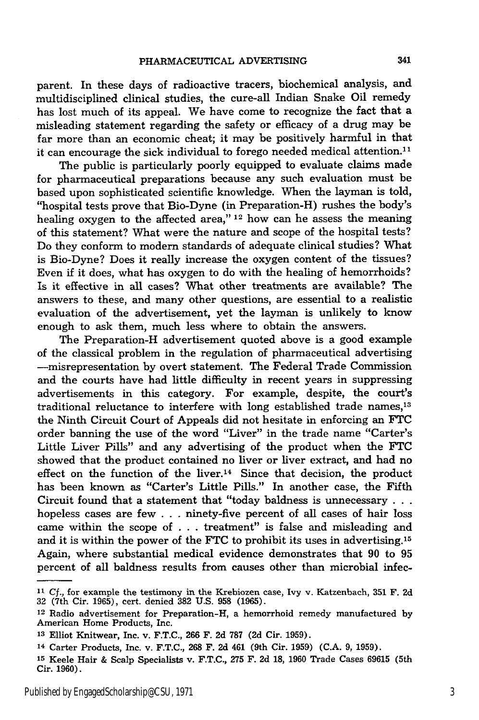parent. In these days of radioactive tracers, biochemical analysis, and multidisciplined clinical studies, the cure-all Indian Snake Oil remedy has lost much of its appeal. We have come to recognize the fact that a misleading statement regarding the safety or efficacy of a drug may be far more than an economic cheat; it may be positively harmful in that it can encourage the sick individual to forego needed medical attention.<sup>11</sup>

The public is particularly poorly equipped to evaluate claims made for pharmaceutical preparations because any such evaluation must be based upon sophisticated scientific knowledge. When the layman is told, "hospital tests prove that Bio-Dyne (in Preparation-H) rushes the body's healing oxygen to the affected area," **12** how can he assess the meaning of this statement? What were the nature and scope of the hospital tests? Do they conform to modern standards of adequate clinical studies? What is Bio-Dyne? Does it really increase the oxygen content of the tissues? Even if it does, what has oxygen to do with the healing of hemorrhoids? Is it effective in all cases? What other treatments are available? The answers to these, and many other questions, are essential to a realistic evaluation of the advertisement, yet the layman is unlikely to know enough to ask them, much less where to obtain the answers.

The Preparation-H advertisement quoted above is a good example of the classical problem in the regulation of pharmaceutical advertising -misrepresentation by overt statement. The Federal Trade Commission and the courts have had little difficulty in recent years in suppressing advertisements in this category. For example, despite, the court's traditional reluctance to interfere with long established trade names,<sup>13</sup> the Ninth Circuit Court of Appeals did not hesitate in enforcing an FTC order banning the use of the word "Liver" in the trade name "Carter's Little Liver Pills" and any advertising of the product when the **FTC** showed that the product contained no liver or liver extract, and had no effect on the function of the liver.<sup>14</sup> Since that decision, the product has been known as "Carter's Little Pills." In another case, the Fifth Circuit found that a statement that "today baldness is unnecessary **. . .** hopeless cases are few . . . ninety-five percent of all cases of hair loss came within the scope of . . . treatment" is false and misleading and and it is within the power of the FTC to prohibit its uses in advertising. <sup>15</sup> Again, where substantial medical evidence demonstrates that 90 to 95 percent of all baldness results from causes other than microbial infec-

**<sup>11</sup>**Cf., for example the testimony in the Krebiozen case, Ivy v. Katzenbach, **351** F. 2d 32 (7th Cir. 1965), cert. denied **382** U.S. **958** (1965).

<sup>12</sup> Radio advertisement for Preparation-H, a hemorrhoid remedy manufactured by American Home Products, Inc.

**<sup>13</sup>**Elliot Knitwear, Inc. v. F.T.C., 266 F. **2d 787** (2d Cir. 1959).

<sup>14</sup> Carter Products, Inc. v. F.T.C., **268** F. **2d** 461 (9th Cir. 1959) (C.A. 9, 1959).

**<sup>15</sup>**Keele Hair & Scalp Specialists v. F.T.C., 275 F. 2d 18, 1960 Trade Cases 69615 (5th Cir. 1960).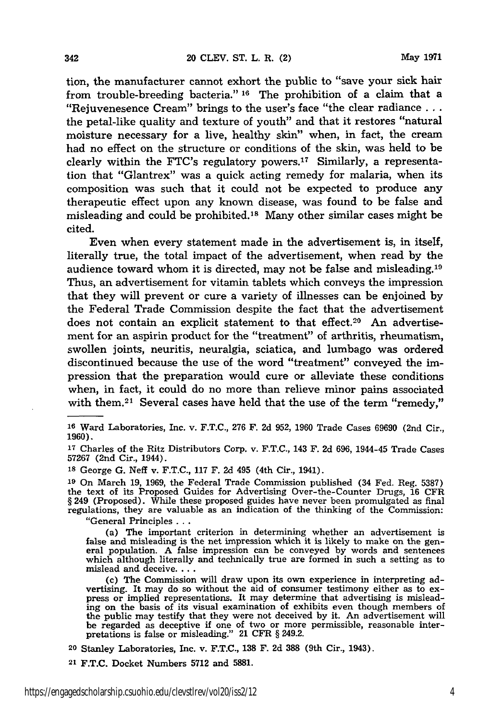tion, the manufacturer cannot exhort the public to "save your sick hair from trouble-breeding bacteria." **16** The prohibition of a claim that a "Rejuvenesence Cream" brings to the user's face "the clear radiance... the petal-like quality and texture of youth" and that it restores "natural moisture necessary for a live, healthy skin" when, in fact, the cream had no effect on the structure or conditions of the skin, was held to be clearly within the FTC's regulatory powers.17 Similarly, a representation that "Glantrex" was a quick acting remedy for malaria, when its composition was such that it could not be expected to produce any therapeutic effect upon any known disease, was found to be false and misleading and could be prohibited.<sup>18</sup> Many other similar cases might be cited.

Even when every statement made in the advertisement is, in itself, literally true, the total impact of the advertisement, when read by the audience toward whom it is directed, may not be false and misleading.<sup>19</sup> Thus, an advertisement for vitamin tablets which conveys the impression that they will prevent or cure a variety of illnesses can be enjoined by the Federal Trade Commission despite the fact that the advertisement does not contain an explicit statement to that effect.<sup>20</sup> An advertisement for an aspirin product for the "treatment" of arthritis, rheumatism, swollen joints, neuritis, neuralgia, sciatica, and lumbago was ordered discontinued because the use of the word "treatment" conveyed the impression that the preparation would cure or alleviate these conditions when, in fact, it could do no more than relieve minor pains associated with them.<sup>21</sup> Several cases have held that the use of the term "remedy,"

**<sup>16</sup>**Ward Laboratories, Inc. v. F.T.C., 276 F. 2d 952, 1960 Trade Cases 69690 (2nd Cir., **1960).**

**<sup>17</sup>**Charles of the Ritz Distributors Corp. v. **F.T.C.,** 143 F. **2d 696,** 1944-45 Trade Cases **57267** (2nd Cir., 1944).

**'8** George **G.** Neff v. **F.T.C., 117** F. **2d** 495 (4th Cir., 1941).

**<sup>19</sup>**On March **19, 1969,** the Federal Trade Commission published (34 Fed. Reg. **5387)** the text of its Proposed Guides for Advertising Over-the-Counter Drugs, **16** CFR § 249 (Proposed). While these proposed guides have never been promulgated as final regulations, they are valuable as an indication of the thinking of the Commission:

"General Principles **...**

(a) The important criterion in determining whether an advertisement is false and misleading is the net impression which it is likely to make on the general population. A false impression can be conveyed by words and sentences which although literally and technically true are formed in such a setting as to mislead and deceive....

(c) The Commission will draw upon its own experience in interpreting advertising. It may do so without the aid of consumer testimony either as to ex- press or implied representations. It may determine that advertising is misleading on the basis of its visual examination of exhibits even though members of the public may testify that they were not deceived by it. An advertisement will be regarded as deceptive if one of two or more permissible, reasonable interpretations is false or misleading." 21 CFR § 249.2.

**20** Stanley Laboratories, Inc. v. F.T.C., **138** F. **2d** 388 (9th Cir., 1943).

**<sup>21</sup>**F.T.C. Docket Numbers **5712** and 5881.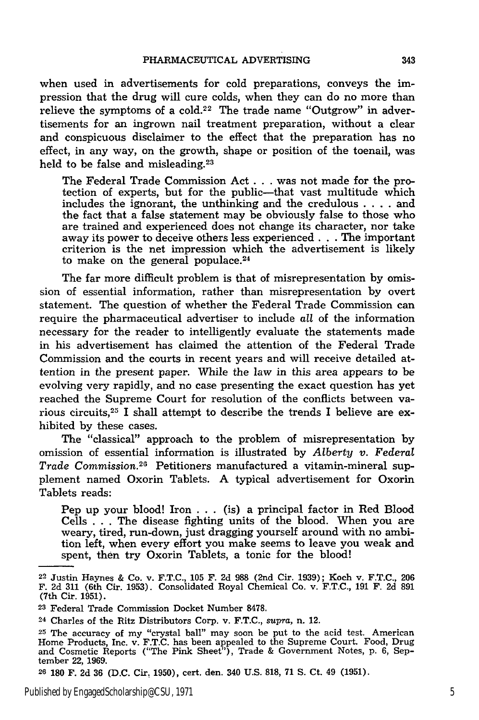when used in advertisements for cold preparations, conveys the impression that the drug will cure colds, when they can do no more than relieve the symptoms of a cold.<sup>22</sup> The trade name "Outgrow" in advertisements for an ingrown nail treatment preparation, without a clear and conspicuous disclaimer to the effect that the preparation has no effect, in any way, on the growth, shape or position of the toenail, was held to be false and misleading.<sup>23</sup>

The Federal Trade Commission Act . . **.** was not made for the protection of experts, but for the public-that vast multitude which includes the ignorant, the unthinking and the credulous . **. .** . and the fact that a false statement may be obviously false to those who are trained and experienced does not change its character, nor take away its power to deceive others less experienced **. .** . The important criterion is the net impression which the advertisement is likely to make on the general populace.<sup>24</sup>

The far more difficult problem is that of misrepresentation by omission of essential information, rather than misrepresentation by overt statement. The question of whether the Federal Trade Commission can require the pharmaceutical advertiser to include *all* of the information necessary for the reader to intelligently evaluate the statements made in his advertisement has claimed the attention of the Federal Trade Commission and the courts in recent years and will receive detailed attention in the present paper. While the law in this area appears to be evolving very rapidly, and no case presenting the exact question has yet reached the Supreme Court for resolution of the conflicts between various circuits,<sup>25</sup> I shall attempt to describe the trends I believe are exhibited by these cases.

The "classical" approach to the problem of misrepresentation by omission of essential information is illustrated by *Atberty v. Federal Trade Commission.2* Petitioners manufactured a vitamin-mineral supplement named Oxorin Tablets. A typical advertisement for Oxorin Tablets reads:

Pep up your blood! Iron . . . (is) a principal factor in Red Blood Cells . . . The disease fighting units of the blood. When you are weary, tired, run-down, just dragging yourself around with no ambition left, when every effort you make seems to leave you weak and spent, then try Oxorin Tablets, a tonic for the blood!

<sup>22</sup> Justin Haynes & Co. v. F.T.C., 105 F. 2d 988 (2nd Cir. 1939); Koch v. F.T.C., 206 F. 2d 311 (6th Cir. 1953). Consolidated Royal Chemical Co. v. F.T.C., 191 F. 2d 891 (7th Cir. 1951).

**<sup>23</sup>**Federal Trade Commission Docket Number 8478.

<sup>24</sup> Charles of the Ritz Distributors Corp. v. F.T.C., *supra,* n. 12.

**<sup>25</sup>**The accuracy of my "crystal ball" may soon be put to the acid test. American Home Products, Inc. v. F.T.C. has been appealed to the Supreme Court. Food, Drug and Cosmetic Reports ("The Pink Sheet"), Trade & Government Notes, p. 6, September 22, 1969.

**<sup>26</sup>**180 F. 2d 36 (D.C. Cir. 1950), cert. den. 340 U.S. 818, 71 S. Ct. 49 (1951).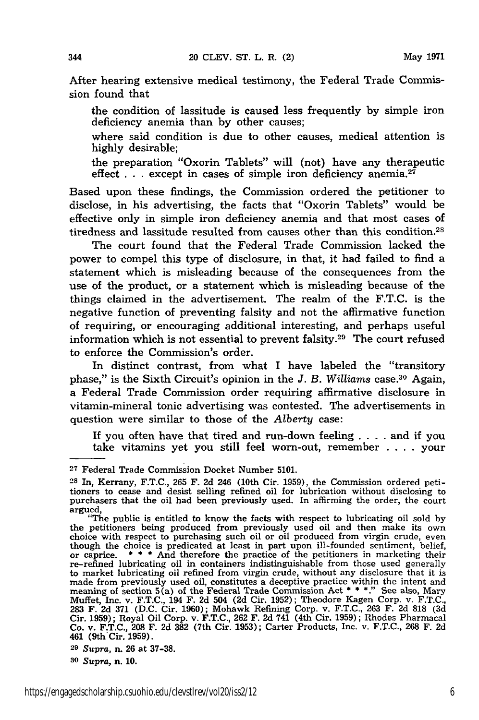After hearing extensive medical testimony, the Federal Trade Commission found that

the condition of lassitude is caused less frequently by simple iron deficiency anemia than by other causes;

where said condition is due to other causes, medical attention is highly desirable;

the preparation "Oxorin Tablets" will (not) have any therapeutic effect  $\dots$  except in cases of simple iron deficiency anemia.<sup>27</sup>

Based upon these findings, the Commission ordered the petitioner to disclose, in his advertising, the facts that "Oxorin Tablets" would be effective only in simple iron deficiency anemia and that most cases of tiredness and lassitude resulted from causes other than this condition.28

The court found that the Federal Trade Commission lacked the power to compel this type of disclosure, in that, it had failed to find a statement which is misleading because of the consequences from the use of the product, or a statement which is misleading because of the things claimed in the advertisement. The realm of the F.T.C. is the negative function of preventing falsity and not the affirmative function of requiring, or encouraging additional interesting, and perhaps useful information which is not essential to prevent falsity.29 The court refused to enforce the Commission's order.

In distinct contrast, from what I have labeled the "transitory phase," is the Sixth Circuit's opinion in the *J. B. Williams* case.<sup>30</sup> Again, a Federal Trade Commission order requiring affirmative disclosure in vitamin-mineral tonic advertising was contested. The advertisements in question were similar to those of the *Alberty* case:

If you often have that tired and run-down feeling .... and if you take vitamins yet you still feel worn-out, remember . **. .** . your

**<sup>27</sup>** Federal Trade Commission Docket Number **5101.**

**<sup>28</sup>** In, Kerrany, F.T.C., **265** F. 2d 246 (10th Cir. 1959), the Commission ordered petitioners to cease and desist selling refined oil for lubrication without disclosing to purchasers that the oil had been previously used. In affirming the order, the court argued, "The public is entitled to know the facts with respect to lubricating oil sold by

the petitioners being produced from previously used oil and then make its own<br>choice with respect to purchasing such oil or oil produced from virgin crude, even<br>though the choice is predicated at least in part upon ill-fo though the choice is predicated at least in part upon ill-founded sentiment, belief, or caprice.  $***$  And therefore the practice of the petitioners in marketing their re-refined lubricating oil in containers indistinguisha to market lubricating oil refined from virgin crude, without any disclosure that it is<br>made from previously used oil, constitutes a deceptive practice within the intent and<br>meaning of section 5(a) of the Federal Trade Comm Muffet, Inc. v. F.T.C., 194 F. 2d 504 **(2d** Cir. 1952); Theodore Kagen Corp. v. F.T.C., **283** F. 2d **371** (D.C. Cir. 1960); Mohawk Refining Corp. v. F.T.C., 263 F. 2d **818** (3d Cir. 1959); Royal Oil Corp. v. F.T.C., **262** F. 2d 741 (4th Cir. 1959); Rhodes Pharmacal Co. v. F.T.C., **208** F. 2d **382** (7th Cir. 1953); Carter Products, Inc. v. F.T.C., 268 F. **2d** 461 (9th Cir. **1959).**

**<sup>29</sup>***Supra,* n. **26** at **37-38.**

**<sup>30</sup>***Supra,* n. **10.**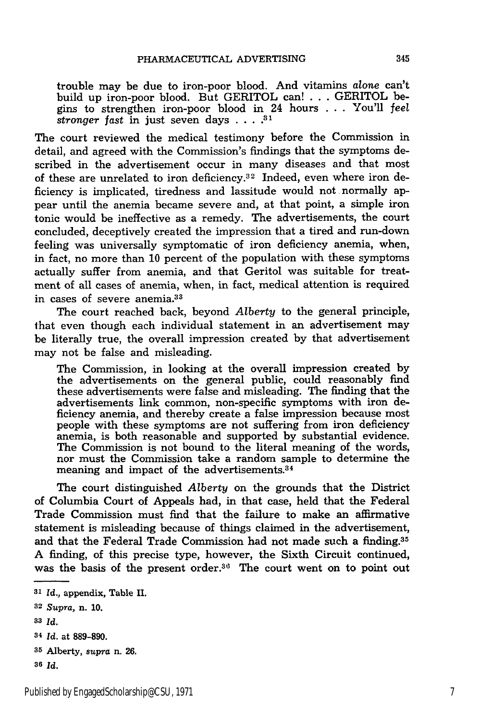trouble may be due to iron-poor blood. And vitamins *alone* can't build up iron-poor blood. But GERITOL can! . . . GERITOL begins to strengthen iron-poor blood in 24 hours ... You'll *feel stronger fast* in just seven days **.... 31**

The court reviewed the medical testimony before the Commission in detail, and agreed with the Commission's findings that the symptoms described in the advertisement occur in many diseases and that most of these are unrelated to iron deficiency.<sup>32</sup> Indeed, even where iron deficiency is implicated, tiredness and lassitude would not normally appear until the anemia became severe and, at that point, a simple iron tonic would be ineffective as a remedy. The advertisements, the court concluded, deceptively created the impression that a tired and run-down feeling was universally symptomatic of iron deficiency anemia, when, in fact, no more than 10 percent of the population with these symptoms actually suffer from anemia, and that Geritol was suitable for treatment of all cases of anemia, when, in fact, medical attention is required in cases of severe anemia.<sup>33</sup>

The court reached back, beyond *Alberty* to the general principle, hat even though each individual statement in an advertisement may be literally true, the overall impression created by that advertisement may not be false and misleading.

The Commission, in looking at the overall impression created by the advertisements on the general public, could reasonably find these advertisements were false and misleading. The finding that the advertisements link common, non-specific symptoms with iron deficiency anemia, and thereby create a false impression because most people with these symptoms are not suffering from iron deficiency anemia, is both reasonable and supported by substantial evidence. The Commission is not bound to the literal meaning of the words, nor must the Commission take a random sample to determine the meaning and impact of the advertisements. <sup>34</sup>

The court distinguished *Alberty* on the grounds that the District of Columbia Court of Appeals had, in that case, held that the Federal Trade Commission must find that the failure to make an affirmative statement is misleading because of things claimed in the advertisement, and that the Federal Trade Commission had not made such a finding.<sup>35</sup> A finding, of this precise type, however, the Sixth Circuit continued, was the basis of the present order.<sup>36</sup> The court went on to point out

*<sup>31</sup>*Id., appendix, Table II.

**<sup>32</sup>***Supra,* n. 10.

*<sup>83</sup> Id.*

**<sup>34</sup>** *Id.* at **889-890.**

**<sup>35</sup>**Alberty, *supra* n. 26.

**<sup>36</sup>** *Id.*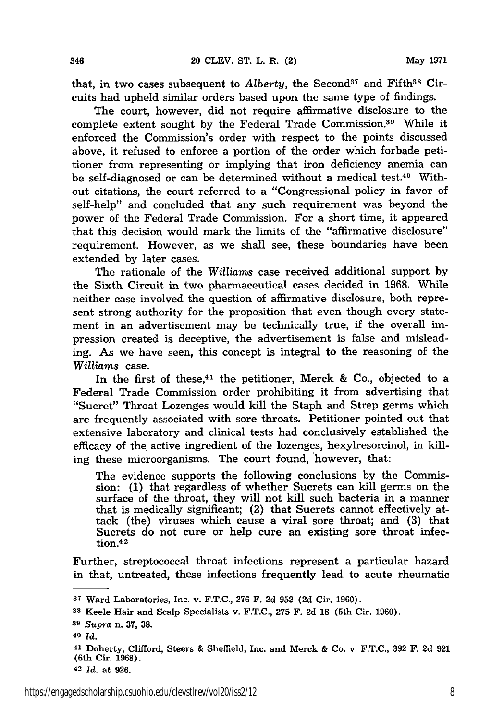that, in two cases subsequent to *Alberty*, the Second<sup>37</sup> and Fifth<sup>38</sup> Circuits had upheld similar orders based upon the same type of findings.

The court, however, did not require affirmative disclosure to the complete extent sought by the Federal Trade Commission.<sup>39</sup> While it enforced the Commission's order with respect to the points discussed above, it refused to enforce a portion of the order which forbade petitioner from representing or implying that iron deficiency anemia can be self-diagnosed or can be determined without a medical test.40 Without citations, the court referred to a "Congressional policy in favor of self-help" and concluded that any such requirement was beyond the power of the Federal Trade Commission. For a short time, it appeared that this decision would mark the limits of the "affirmative disclosure" requirement. However, as we shall see, these boundaries have been extended by later cases.

The rationale of the *Williams* case received additional support by the Sixth Circuit in two pharmaceutical cases decided in 1968. While neither case involved the question of affirmative disclosure, both represent strong authority for the proposition that even though every statement in an advertisement may be technically true, if the overall impression created is deceptive, the advertisement is false and misleading. As we have seen, this concept is integral to the reasoning of the Williams case.

In the first of these,<sup>41</sup> the petitioner, Merck & Co., objected to a Federal Trade Commission order prohibiting it from advertising that "Sucret" Throat Lozenges would kill the Staph and Strep germs which are frequently associated with sore throats. Petitioner pointed out that extensive laboratory and clinical tests had conclusively established the efficacy of the active ingredient of the lozenges, hexylresorcinol, in killing these microorganisms. The court found, however, that:

The evidence supports the following conclusions by the Commission: (1) that regardless of whether Sucrets can kill germs on the surface of the throat, they will not kill such bacteria in a manner that is medically significant; (2) that Sucrets cannot effectively attack (the) viruses which cause a viral sore throat; and (3) that Sucrets do not cure or help cure an existing sore throat infection.<sup>42</sup>

Further, streptococcal throat infections represent a particular hazard in that, untreated, these infections frequently lead to acute rheumatic

346

**<sup>37</sup>**Ward Laboratories, Inc. v. F.T.C., 276 F. 2d 952 (2d Cir. 1960).

**<sup>38</sup>**Keele Hair and Scalp Specialists v. **F.T.C., 275** F. **2d 18** (5th Cir. 1960).

**<sup>39</sup>***Supra* n. **37, 38.**

**<sup>40</sup>***Id.*

**<sup>41</sup>**Doherty, Clifford, Steers & Sheffield, Inc. and Merck & Co. v. F.T.C., 392 F. 2d 921 (6th Cir. 1968).

**<sup>42</sup>** Id. at **926.**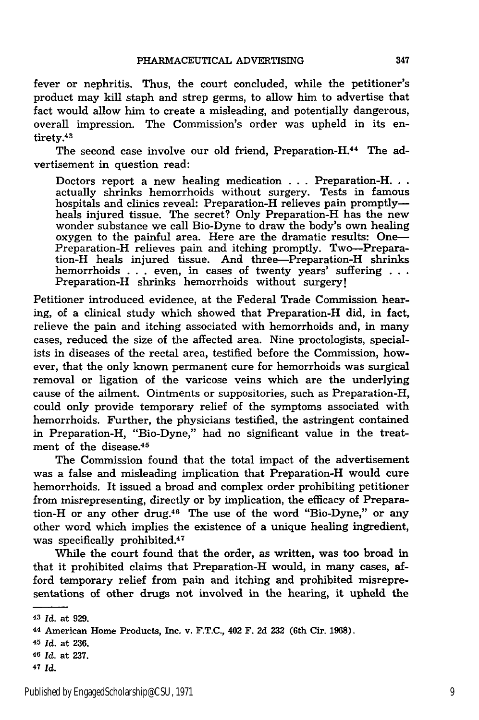fever or nephritis. Thus, the court concluded, while the petitioner's product may kill staph and strep germs, to allow him to advertise that fact would allow him to create a misleading, and potentially dangerous, overall impression. The Commission's order was upheld in its entirety.<sup>43</sup>

The second case involve our old friend, Preparation-H.<sup>44</sup> The advertisement in question read:

Doctors report a new healing medication **. . .** Preparation-H... actually shrinks hemorrhoids without surgery. Tests in famous hospitals and clinics reveal: Preparation-H relieves pain promptlyheals injured tissue. The secret? Only Preparation-H has the new wonder substance we call Bio-Dyne to draw the body's own healing oxygen to the painful area. Here are the dramatic results: One-Preparation-H relieves pain and itching promptly. Two-Preparation-H heals injured tissue. And three-Preparation-H shrinks hemorrhoids **. .** even, in cases of twenty years' suffering Preparation-H shrinks hemorrhoids without surgery!

Petitioner introduced evidence, at the Federal Trade Commission hearing, of a clinical study which showed that Preparation-H did, in fact, relieve the pain and itching associated with hemorrhoids and, in many cases, reduced the size of the affected area. Nine proctologists, specialists in diseases of the rectal area, testified before the Commission, however, that the only known permanent cure for hemorrhoids was surgical removal or ligation of the varicose veins which are the underlying cause of the ailment. Ointments or suppositories, such as Preparation-H, could only provide temporary relief of the symptoms associated with hemorrhoids. Further, the physicians testified, the astringent contained in Preparation-H, "Bio-Dyne," had no significant value in the treatment of the disease.45

The Commission found that the total impact of the advertisement was a false and misleading implication that Preparation-H would cure hemorrhoids. It issued a broad and complex order prohibiting petitioner from misrepresenting, directly or **by** implication, the efficacy of Preparation-H or any other drug.46 The use of the word "Bio-Dyne," or any other word which implies the existence of a unique healing ingredient, was specifically prohibited.<sup>47</sup>

While the court found that the order, as written, was too broad in that it prohibited claims that Preparation-H would, in many cases, afford temporary relief from pain and itching and prohibited misrepresentations of other drugs not involved in the hearing, it upheld the

<sup>43</sup>*Id.* at **929.**

**<sup>44</sup>**American Home Products, Inc. v. **F.T.C.,** 402 F. **2d 232** (6th Cir. **1968).**

**<sup>45</sup>***Id.* at **236.**

**<sup>46</sup> Id.** at **237.**

**<sup>47</sup>** *Id.*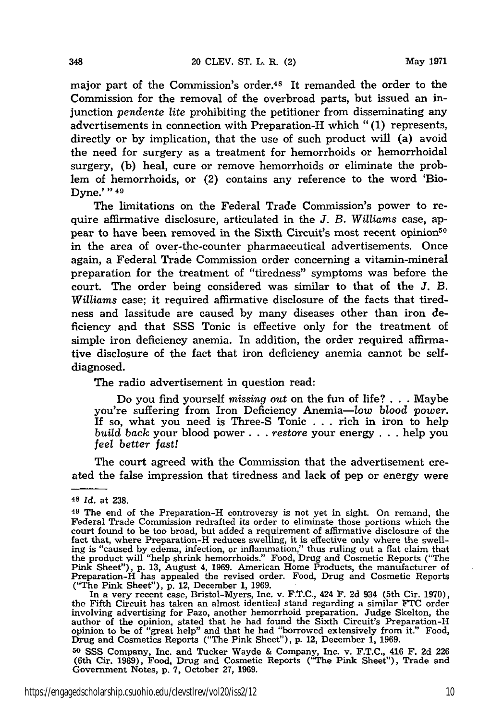major part of the Commission's order.48 It remanded the order to the Commission for the removal of the overbroad parts, but issued an injunction *pendente lite* prohibiting the petitioner from disseminating any advertisements in connection with Preparation-H which **"(1)** represents, directly or **by** implication, that the use of such product will (a) avoid the need for surgery as a treatment for hemorrhoids or hemorrhoidal surgery, **(b)** heal, cure or remove hemorrhoids or eliminate the problem of hemorrhoids, or (2) contains any reference to the word 'Bio-Dyne.' **"49**

The limitations on the Federal Trade Commission's power to require affirmative disclosure, articulated in the *J. B. Williams* case, appear to have been removed in the Sixth Circuit's most recent opinion<sup>50</sup> in the area of over-the-counter pharmaceutical advertisements. Once again, a Federal Trade Commission order concerning a vitamin-mineral preparation for the treatment of "tiredness" symptoms was before the court. The order being considered was similar to that of the **J.** B. *Williams* case; it required affirmative disclosure of the facts that tiredness and lassitude are caused **by** many diseases other than iron deficiency and that **SSS** Tonic is effective only for the treatment of simple iron deficiency anemia. In addition, the order required affirmative disclosure of the fact that iron deficiency anemia cannot be selfdiagnosed.

The radio advertisement in question read:

Do you find yourself *missing* out on the fun of life? **. . .** Maybe you're suffering from Iron Deficiency Anemia-low blood *power.* If so, what you need is Three-S Tonic **. . .** rich in iron to help *build back* your blood power. **. .** *restore* your energy **. . .** help you *feel better fast!*

The court agreed with the Commission that the advertisement created the false impression that tiredness and lack of pep or energy were

348

("The Pink Sheet"), p. 12, December 1, 1969.<br>In a very recent case, Bristol-Myers, Inc. v. F.T.C., 424 F. 2d 934 (5th Cir. 1970)<br>the Fifth Circuit has taken an almost identical stand regarding a similar FTC order involving advertising for Pazo, another hemorrhoid preparation. Judge Skelton, the author of the opinion, stated that he had found the Sixth Circuit's Preparation-H<br>opinion to be of "great help" and that he had "borrowed extensively from it." Food,<br>Drug and Cosmetics Reports ("The Pink Sheet"), p. 12, De

**50 SSS** Company, Inc. and Tucker Wayde & Company, Inc. v. F.T.C., 416 F. 2d 226 (6th Cir. 1969), Food, Drug and Cosmetic Reports ("The Pink Sheet"), Trade and Government Notes, p. 7, October **27,** 1969.

<sup>48</sup>*Id.* at 238.

**<sup>49</sup>**The end of the Preparation-H controversy is not yet in sight. On remand, the Federal Trade Commission redrafted its order to eliminate those portions which the court found to be too broad, but added a requirement of affirmative disclosure of the fact that, where Preparation-H reduces swelling, it is effective only where the swell-<br>ing is "caused by edema, infection, or inflammation," thus ruling out a flat claim that<br>the product will "help shrink hemorrhoids." Foo Pink Sheet"), p. 13, August 4, 1969. American Home Products, the manufacturer of Preparation-H has appealed the revised order. Food, Drug and Cosmetic Reports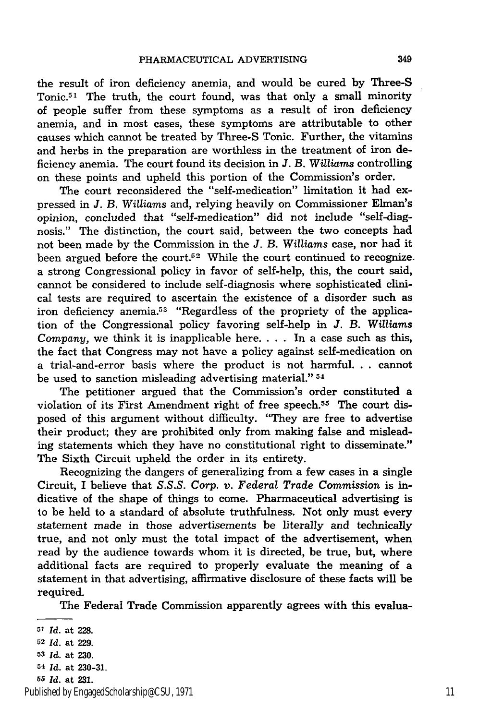the result of iron deficiency anemia, and would be cured by Three-S Tonic.<sup>51</sup> The truth, the court found, was that only a small minority of people suffer from these symptoms as a result of iron deficiency anemia, and in most cases, these symptoms are attributable to other causes which cannot be treated by Three-S Tonic. Further, the vitamins and herbs in the preparation are worthless in the treatment of iron deficiency anemia. The court found its decision in *J. B. Williams* controlling on these points and upheld this portion of the Commission's order.

The court reconsidered the "self-medication" limitation it had expressed in *J. B. Williams* and, relying heavily on Commissioner Elman's opinion, concluded that "self-medication" did not include "self-diagnosis." The distinction, the court said, between the two concepts had not been made by the Commission in the *J. B. Williams* case, nor had it been argued before the court.52 While the court continued to recognize. a strong Congressional policy in favor of self-help, this, the court said, cannot be considered to include self-diagnosis where sophisticated clinical tests are required to ascertain the existence of a disorder such as iron deficiency anemia.<sup>53</sup> "Regardless of the propriety of the application of the Congressional policy favoring self-help in *J. B. Williams Company,* we think it is inapplicable here. . **.** . In a case such as this, the fact that Congress may not have a policy against self-medication on a trial-and-error basis where the product is not harmful. **. .** cannot be used to sanction misleading advertising material." 54

The petitioner argued that the Commission's order constituted a violation of its First Amendment right of free speech.55 The court disposed of this argument without difficulty. "They are free to advertise their product; they are prohibited only from making false and misleading statements which they have no constitutional right to disseminate." The Sixth Circuit upheld the order in its entirety.

Recognizing the dangers of generalizing from a few cases in a single Circuit, I believe that *S.S.S. Corp. v. Federal Trade Commission* is indicative of the shape of things to come. Pharmaceutical advertising is to be held to a standard of absolute truthfulness. Not only must every statement made in those advertisements be literally and technically true, and not only must the total impact of the advertisement, when read by the audience towards whom it is directed, be true, but, where additional facts are required to properly evaluate the meaning of a statement in that advertising, affirmative disclosure of these facts will be required.

The Federal Trade Commission apparently agrees with this evalua-

Published by EngagedScholarship@CSU, 1971 11

**<sup>51</sup>***Id.* at 228.

**<sup>52</sup>** Id. at 229.

**<sup>53</sup>***Id.* at 230.

*<sup>54</sup> Id.* at 230-31.

*<sup>55</sup> Id.* at **231.**